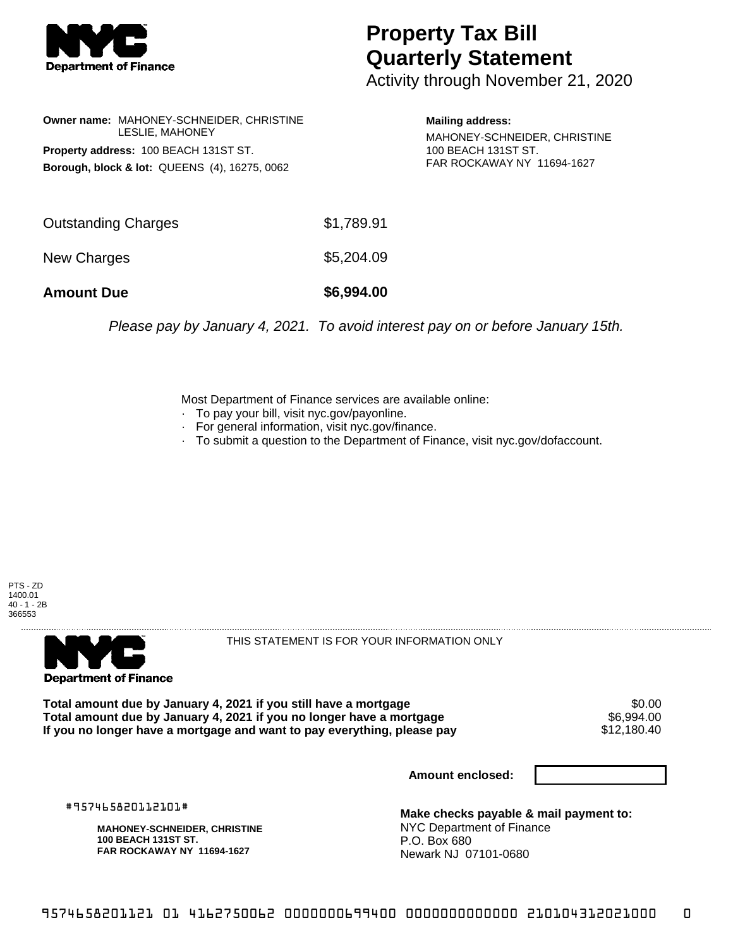

## **Property Tax Bill Quarterly Statement**

Activity through November 21, 2020

| Owner name: MAHONEY-SCHNEIDER, CHRISTINE<br><b>LESLIE. MAHONEY</b><br>Property address: 100 BEACH 131ST ST.<br>Borough, block & lot: QUEENS (4), 16275, 0062 |            | <b>Mailing address:</b><br>MAHONEY-SCHNEIDER, CHRISTINE<br>100 BEACH 131ST ST.<br>FAR ROCKAWAY NY 11694-1627 |
|--------------------------------------------------------------------------------------------------------------------------------------------------------------|------------|--------------------------------------------------------------------------------------------------------------|
| <b>Outstanding Charges</b>                                                                                                                                   | \$1,789.91 |                                                                                                              |
| New Charges                                                                                                                                                  | \$5,204.09 |                                                                                                              |
| <b>Amount Due</b>                                                                                                                                            | \$6,994.00 |                                                                                                              |

Please pay by January 4, 2021. To avoid interest pay on or before January 15th.

Most Department of Finance services are available online:

- · To pay your bill, visit nyc.gov/payonline.
- For general information, visit nyc.gov/finance.
- · To submit a question to the Department of Finance, visit nyc.gov/dofaccount.

PTS - ZD 1400.01 40 - 1 - 2B 366553



THIS STATEMENT IS FOR YOUR INFORMATION ONLY

Total amount due by January 4, 2021 if you still have a mortgage  $$6.00$ <br>Total amount due by January 4, 2021 if you no longer have a mortgage  $$6,994.00$ **Total amount due by January 4, 2021 if you no longer have a mortgage**  $$6,994.00$ **<br>If you no longer have a mortgage and want to pay everything, please pay**  $$12,180.40$ If you no longer have a mortgage and want to pay everything, please pay

**Amount enclosed:**

#957465820112101#

**MAHONEY-SCHNEIDER, CHRISTINE 100 BEACH 131ST ST. FAR ROCKAWAY NY 11694-1627**

**Make checks payable & mail payment to:** NYC Department of Finance P.O. Box 680 Newark NJ 07101-0680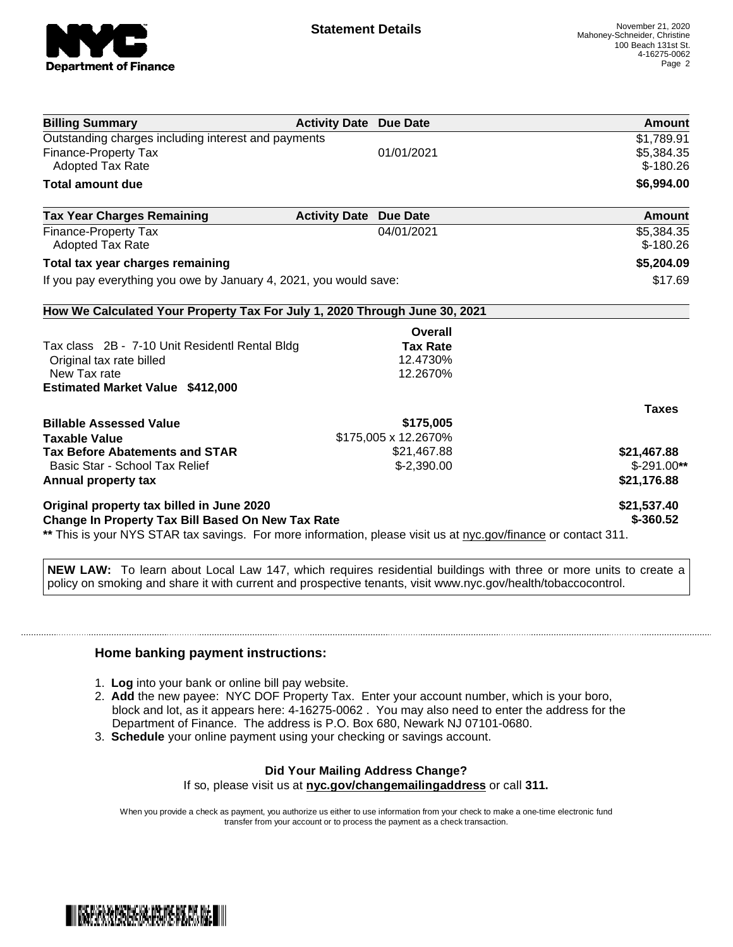

| <b>Billing Summary</b>                                                                                         | <b>Activity Date Due Date</b> | Amount       |
|----------------------------------------------------------------------------------------------------------------|-------------------------------|--------------|
| Outstanding charges including interest and payments                                                            |                               | \$1,789.91   |
| Finance-Property Tax                                                                                           | 01/01/2021                    | \$5,384.35   |
| <b>Adopted Tax Rate</b>                                                                                        |                               | $$-180.26$   |
| <b>Total amount due</b>                                                                                        |                               | \$6,994.00   |
| <b>Tax Year Charges Remaining</b>                                                                              | <b>Activity Date Due Date</b> | Amount       |
| Finance-Property Tax                                                                                           | 04/01/2021                    | \$5,384.35   |
| Adopted Tax Rate                                                                                               |                               | $$-180.26$   |
| Total tax year charges remaining                                                                               |                               | \$5,204.09   |
| If you pay everything you owe by January 4, 2021, you would save:                                              | \$17.69                       |              |
| How We Calculated Your Property Tax For July 1, 2020 Through June 30, 2021                                     |                               |              |
|                                                                                                                | Overall                       |              |
| Tax class 2B - 7-10 Unit Residentl Rental Bldg                                                                 | <b>Tax Rate</b>               |              |
| Original tax rate billed                                                                                       | 12.4730%                      |              |
| New Tax rate                                                                                                   | 12.2670%                      |              |
| <b>Estimated Market Value \$412,000</b>                                                                        |                               |              |
|                                                                                                                |                               | <b>Taxes</b> |
| <b>Billable Assessed Value</b>                                                                                 | \$175,005                     |              |
| <b>Taxable Value</b>                                                                                           | \$175,005 x 12.2670%          |              |
| <b>Tax Before Abatements and STAR</b>                                                                          | \$21,467.88                   | \$21,467.88  |
| Basic Star - School Tax Relief                                                                                 | $$-2,390.00$                  | $$-291.00**$ |
| Annual property tax                                                                                            |                               | \$21,176.88  |
| Original property tax billed in June 2020                                                                      |                               | \$21,537.40  |
| Change In Property Tax Bill Based On New Tax Rate                                                              | $$-360.52$                    |              |
| ** This is your NYS STAR tax savings. For more information, please visit us at nyc.gov/finance or contact 311. |                               |              |

**NEW LAW:** To learn about Local Law 147, which requires residential buildings with three or more units to create a policy on smoking and share it with current and prospective tenants, visit www.nyc.gov/health/tobaccocontrol.

## **Home banking payment instructions:**

- 1. **Log** into your bank or online bill pay website.
- 2. **Add** the new payee: NYC DOF Property Tax. Enter your account number, which is your boro, block and lot, as it appears here: 4-16275-0062 . You may also need to enter the address for the Department of Finance. The address is P.O. Box 680, Newark NJ 07101-0680.
- 3. **Schedule** your online payment using your checking or savings account.

## **Did Your Mailing Address Change?**

If so, please visit us at **nyc.gov/changemailingaddress** or call **311.**

When you provide a check as payment, you authorize us either to use information from your check to make a one-time electronic fund transfer from your account or to process the payment as a check transaction.